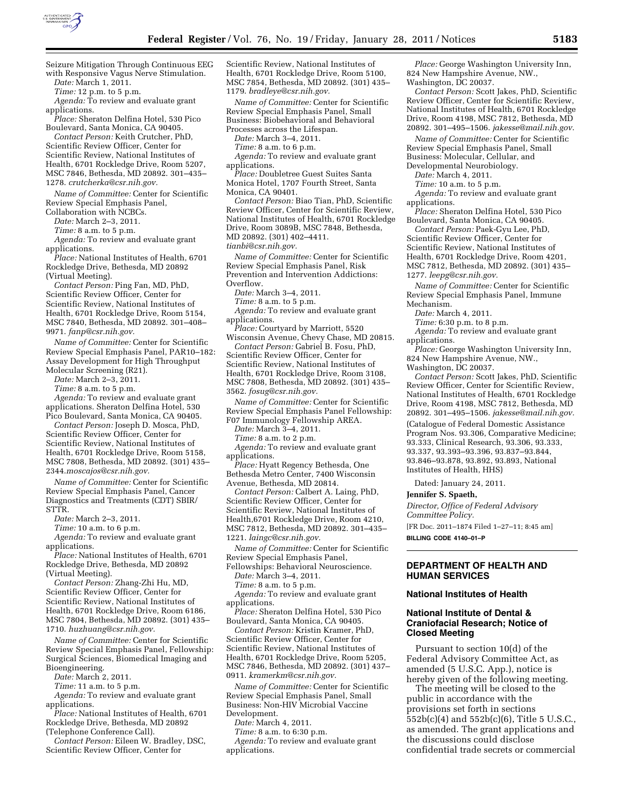

Seizure Mitigation Through Continuous EEG with Responsive Vagus Nerve Stimulation.

*Date:* March 1, 2011.

*Time:* 12 p.m. to 5 p.m.

*Agenda:* To review and evaluate grant applications.

*Place:* Sheraton Delfina Hotel, 530 Pico Boulevard, Santa Monica, CA 90405.

*Contact Person:* Keith Crutcher, PhD, Scientific Review Officer, Center for Scientific Review, National Institutes of Health, 6701 Rockledge Drive, Room 5207, MSC 7846, Bethesda, MD 20892. 301–435– 1278. *[crutcherka@csr.nih.gov.](mailto:crutcherka@csr.nih.gov)* 

*Name of Committee:* Center for Scientific Review Special Emphasis Panel,

Collaboration with NCBCs.

*Date:* March 2–3, 2011.

*Time:* 8 a.m. to 5 p.m.

*Agenda:* To review and evaluate grant applications.

*Place:* National Institutes of Health, 6701 Rockledge Drive, Bethesda, MD 20892 (Virtual Meeting).

*Contact Person:* Ping Fan, MD, PhD, Scientific Review Officer, Center for Scientific Review, National Institutes of Health, 6701 Rockledge Drive, Room 5154, MSC 7840, Bethesda, MD 20892. 301–408– 9971. *[fanp@csr.nih.gov.](mailto:fanp@csr.nih.gov)* 

*Name of Committee:* Center for Scientific Review Special Emphasis Panel, PAR10–182: Assay Development for High Throughput Molecular Screening (R21).

*Date:* March 2–3, 2011.

*Time:* 8 a.m. to 5 p.m.

*Agenda:* To review and evaluate grant applications. Sheraton Delfina Hotel, 530 Pico Boulevard, Santa Monica, CA 90405.

*Contact Person:* Joseph D. Mosca, PhD, Scientific Review Officer, Center for Scientific Review, National Institutes of Health, 6701 Rockledge Drive, Room 5158, MSC 7808, Bethesda, MD 20892. (301) 435– 2344.*[moscajos@csr.nih.gov.](mailto:moscajos@csr.nih.gov)* 

*Name of Committee:* Center for Scientific Review Special Emphasis Panel, Cancer Diagnostics and Treatments (CDT) SBIR/ STTR.

*Date:* March 2–3, 2011.

*Time:* 10 a.m. to 6 p.m.

*Agenda:* To review and evaluate grant applications.

*Place:* National Institutes of Health, 6701 Rockledge Drive, Bethesda, MD 20892 (Virtual Meeting).

*Contact Person:* Zhang-Zhi Hu, MD, Scientific Review Officer, Center for Scientific Review, National Institutes of Health, 6701 Rockledge Drive, Room 6186, MSC 7804, Bethesda, MD 20892. (301) 435– 1710. *[huzhuang@csr.nih.gov.](mailto:huzhuang@csr.nih.gov)* 

*Name of Committee:* Center for Scientific Review Special Emphasis Panel, Fellowship: Surgical Sciences, Biomedical Imaging and Bioengineering.

*Date:* March 2, 2011.

*Time:* 11 a.m. to 5 p.m.

*Agenda:* To review and evaluate grant applications.

*Place:* National Institutes of Health, 6701 Rockledge Drive, Bethesda, MD 20892 (Telephone Conference Call).

*Contact Person:* Eileen W. Bradley, DSC,

Scientific Review Officer, Center for

Scientific Review, National Institutes of Health, 6701 Rockledge Drive, Room 5100, MSC 7854, Bethesda, MD 20892. (301) 435– 1179. *[bradleye@csr.nih.gov.](mailto:bradleye@csr.nih.gov)* 

*Name of Committee:* Center for Scientific Review Special Emphasis Panel, Small Business: Biobehavioral and Behavioral Processes across the Lifespan.

*Date:* March 3–4, 2011.

*Time:* 8 a.m. to 6 p.m.

*Agenda:* To review and evaluate grant applications.

*Place:* Doubletree Guest Suites Santa Monica Hotel, 1707 Fourth Street, Santa Monica, CA 90401.

*Contact Person:* Biao Tian, PhD, Scientific Review Officer, Center for Scientific Review, National Institutes of Health, 6701 Rockledge Drive, Room 3089B, MSC 7848, Bethesda, MD 20892. (301) 402–4411. *[tianbi@csr.nih.gov.](mailto:tianbi@csr.nih.gov)* 

*Name of Committee:* Center for Scientific Review Special Emphasis Panel, Risk Prevention and Intervention Addictions: Overflow.

*Date:* March 3–4, 2011.

*Time:* 8 a.m. to 5 p.m.

*Agenda:* To review and evaluate grant applications.

*Place:* Courtyard by Marriott, 5520 Wisconsin Avenue, Chevy Chase, MD 20815. *Contact Person:* Gabriel B. Fosu, PhD,

Scientific Review Officer, Center for Scientific Review, National Institutes of Health, 6701 Rockledge Drive, Room 3108, MSC 7808, Bethesda, MD 20892. (301) 435– 3562. *[fosug@csr.nih.gov.](mailto:fosug@csr.nih.gov)* 

*Name of Committee:* Center for Scientific Review Special Emphasis Panel Fellowship: F07 Immunology Fellowship AREA.

*Date:* March 3–4, 2011.

*Time:* 8 a.m. to 2 p.m. *Agenda:* To review and evaluate grant

applications. *Place:* Hyatt Regency Bethesda, One

Bethesda Metro Center, 7400 Wisconsin Avenue, Bethesda, MD 20814.

*Contact Person:* Calbert A. Laing, PhD, Scientific Review Officer, Center for Scientific Review, National Institutes of Health,6701 Rockledge Drive, Room 4210, MSC 7812, Bethesda, MD 20892. 301–435– 1221. *[laingc@csr.nih.gov.](mailto:laingc@csr.nih.gov)* 

*Name of Committee:* Center for Scientific Review Special Emphasis Panel,

Fellowships: Behavioral Neuroscience. *Date:* March 3–4, 2011.

*Time:* 8 a.m. to 5 p.m.

*Agenda:* To review and evaluate grant applications.

*Place:* Sheraton Delfina Hotel, 530 Pico Boulevard, Santa Monica, CA 90405.

*Contact Person:* Kristin Kramer, PhD, Scientific Review Officer, Center for Scientific Review, National Institutes of Health, 6701 Rockledge Drive, Room 5205, MSC 7846, Bethesda, MD 20892. (301) 437– 0911. *[kramerkm@csr.nih.gov.](mailto:kramerkm@csr.nih.gov)* 

*Name of Committee:* Center for Scientific Review Special Emphasis Panel, Small Business: Non-HIV Microbial Vaccine Development.

*Date:* March 4, 2011.

*Time:* 8 a.m. to 6:30 p.m.

*Agenda:* To review and evaluate grant applications.

*Place:* George Washington University Inn, 824 New Hampshire Avenue, NW., Washington, DC 20037.

*Contact Person:* Scott Jakes, PhD, Scientific Review Officer, Center for Scientific Review, National Institutes of Health, 6701 Rockledge Drive, Room 4198, MSC 7812, Bethesda, MD 20892. 301–495–1506. *[jakesse@mail.nih.gov](mailto:jakesse@mail.nih.gov)*.

*Name of Committee:* Center for Scientific Review Special Emphasis Panel, Small Business: Molecular, Cellular, and Developmental Neurobiology.

*Date:* March 4, 2011.

*Time:* 10 a.m. to 5 p.m. *Agenda:* To review and evaluate grant

applications.

*Place:* Sheraton Delfina Hotel, 530 Pico Boulevard, Santa Monica, CA 90405.

*Contact Person:* Paek-Gyu Lee, PhD, Scientific Review Officer, Center for Scientific Review, National Institutes of Health, 6701 Rockledge Drive, Room 4201, MSC 7812, Bethesda, MD 20892. (301) 435– 1277. *[leepg@csr.nih.gov.](mailto:leepg@csr.nih.gov)* 

*Name of Committee:* Center for Scientific Review Special Emphasis Panel, Immune Mechanism.

*Date:* March 4, 2011.

*Time:* 6:30 p.m. to 8 p.m.

*Agenda:* To review and evaluate grant applications.

*Place:* George Washington University Inn, 824 New Hampshire Avenue, NW.,

Washington, DC 20037.

*Contact Person:* Scott Jakes, PhD, Scientific Review Officer, Center for Scientific Review, National Institutes of Health, 6701 Rockledge Drive, Room 4198, MSC 7812, Bethesda, MD 20892. 301–495–1506. *[jakesse@mail.nih.gov.](mailto:jakesse@mail.nih.gov)* 

(Catalogue of Federal Domestic Assistance Program Nos. 93.306, Comparative Medicine; 93.333, Clinical Research, 93.306, 93.333, 93.337, 93.393–93.396, 93.837–93.844, 93.846–93.878, 93.892, 93.893, National Institutes of Health, HHS)

Dated: January 24, 2011.

**Jennifer S. Spaeth,** 

*Director, Office of Federal Advisory Committee Policy.* 

[FR Doc. 2011–1874 Filed 1–27–11; 8:45 am]

**BILLING CODE 4140–01–P** 

## **DEPARTMENT OF HEALTH AND HUMAN SERVICES**

## **National Institutes of Health**

## **National Institute of Dental & Craniofacial Research; Notice of Closed Meeting**

Pursuant to section 10(d) of the Federal Advisory Committee Act, as amended (5 U.S.C. App.), notice is hereby given of the following meeting.

The meeting will be closed to the public in accordance with the provisions set forth in sections 552b(c)(4) and 552b(c)(6), Title 5 U.S.C., as amended. The grant applications and the discussions could disclose confidential trade secrets or commercial